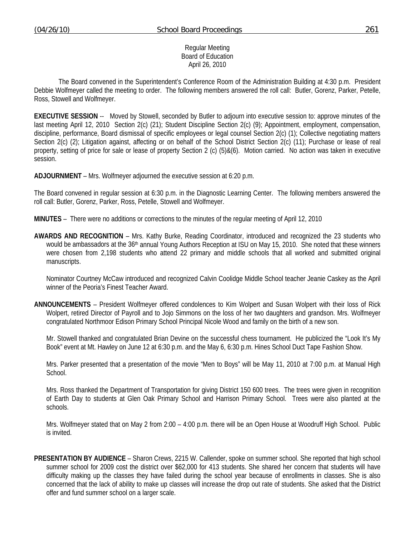### Regular Meeting Board of Education April 26, 2010

 The Board convened in the Superintendent's Conference Room of the Administration Building at 4:30 p.m. President Debbie Wolfmeyer called the meeting to order. The following members answered the roll call: Butler, Gorenz, Parker, Petelle, Ross, Stowell and Wolfmeyer.

**EXECUTIVE SESSION** -- Moved by Stowell, seconded by Butler to adjourn into executive session to: approve minutes of the last meeting April 12, 2010 Section 2(c) (21); Student Discipline Section 2(c) (9); Appointment, employment, compensation, discipline, performance, Board dismissal of specific employees or legal counsel Section 2(c) (1); Collective negotiating matters Section 2(c) (2); Litigation against, affecting or on behalf of the School District Section 2(c) (11); Purchase or lease of real property, setting of price for sale or lease of property Section 2 (c) (5)&(6). Motion carried. No action was taken in executive session.

**ADJOURNMENT** – Mrs. Wolfmeyer adjourned the executive session at 6:20 p.m.

The Board convened in regular session at 6:30 p.m. in the Diagnostic Learning Center. The following members answered the roll call: Butler, Gorenz, Parker, Ross, Petelle, Stowell and Wolfmeyer.

**MINUTES** – There were no additions or corrections to the minutes of the regular meeting of April 12, 2010

**AWARDS AND RECOGNITION** – Mrs. Kathy Burke, Reading Coordinator, introduced and recognized the 23 students who would be ambassadors at the 36<sup>th</sup> annual Young Authors Reception at ISU on May 15, 2010. She noted that these winners were chosen from 2,198 students who attend 22 primary and middle schools that all worked and submitted original manuscripts.

Nominator Courtney McCaw introduced and recognized Calvin Coolidge Middle School teacher Jeanie Caskey as the April winner of the Peoria's Finest Teacher Award.

**ANNOUNCEMENTS** – President Wolfmeyer offered condolences to Kim Wolpert and Susan Wolpert with their loss of Rick Wolpert, retired Director of Payroll and to Jojo Simmons on the loss of her two daughters and grandson. Mrs. Wolfmeyer congratulated Northmoor Edison Primary School Principal Nicole Wood and family on the birth of a new son.

 Mr. Stowell thanked and congratulated Brian Devine on the successful chess tournament. He publicized the "Look It's My Book" event at Mt. Hawley on June 12 at 6:30 p.m. and the May 6, 6:30 p.m. Hines School Duct Tape Fashion Show.

 Mrs. Parker presented that a presentation of the movie "Men to Boys" will be May 11, 2010 at 7:00 p.m. at Manual High School.

 Mrs. Ross thanked the Department of Transportation for giving District 150 600 trees. The trees were given in recognition of Earth Day to students at Glen Oak Primary School and Harrison Primary School. Trees were also planted at the schools.

 Mrs. Wolfmeyer stated that on May 2 from 2:00 – 4:00 p.m. there will be an Open House at Woodruff High School. Public is invited.

**PRESENTATION BY AUDIENCE** – Sharon Crews, 2215 W. Callender, spoke on summer school. She reported that high school summer school for 2009 cost the district over \$62,000 for 413 students. She shared her concern that students will have difficulty making up the classes they have failed during the school year because of enrollments in classes. She is also concerned that the lack of ability to make up classes will increase the drop out rate of students. She asked that the District offer and fund summer school on a larger scale.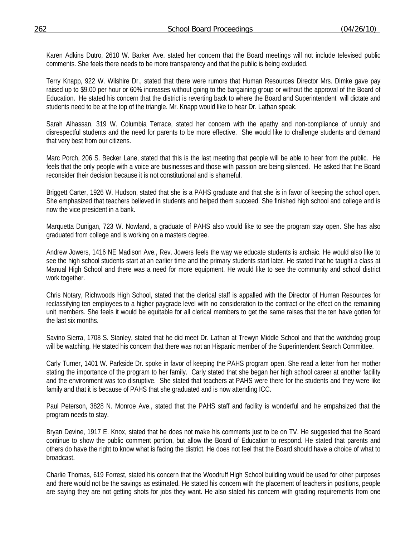Karen Adkins Dutro, 2610 W. Barker Ave. stated her concern that the Board meetings will not include televised public comments. She feels there needs to be more transparency and that the public is being excluded.

Terry Knapp, 922 W. Wilshire Dr., stated that there were rumors that Human Resources Director Mrs. Dimke gave pay raised up to \$9.00 per hour or 60% increases without going to the bargaining group or without the approval of the Board of Education. He stated his concern that the district is reverting back to where the Board and Superintendent will dictate and students need to be at the top of the triangle. Mr. Knapp would like to hear Dr. Lathan speak.

Sarah Alhassan, 319 W. Columbia Terrace, stated her concern with the apathy and non-compliance of unruly and disrespectful students and the need for parents to be more effective. She would like to challenge students and demand that very best from our citizens.

Marc Porch, 206 S. Becker Lane, stated that this is the last meeting that people will be able to hear from the public. He feels that the only people with a voice are businesses and those with passion are being silenced. He asked that the Board reconsider their decision because it is not constitutional and is shameful.

Briggett Carter, 1926 W. Hudson, stated that she is a PAHS graduate and that she is in favor of keeping the school open. She emphasized that teachers believed in students and helped them succeed. She finished high school and college and is now the vice president in a bank.

Marquetta Dunigan, 723 W. Nowland, a graduate of PAHS also would like to see the program stay open. She has also graduated from college and is working on a masters degree.

Andrew Jowers, 1416 NE Madison Ave., Rev. Jowers feels the way we educate students is archaic. He would also like to see the high school students start at an earlier time and the primary students start later. He stated that he taught a class at Manual High School and there was a need for more equipment. He would like to see the community and school district work together.

Chris Notary, Richwoods High School, stated that the clerical staff is appalled with the Director of Human Resources for reclassifying ten employees to a higher paygrade level with no consideration to the contract or the effect on the remaining unit members. She feels it would be equitable for all clerical members to get the same raises that the ten have gotten for the last six months.

Savino Sierra, 1708 S. Stanley, stated that he did meet Dr. Lathan at Trewyn Middle School and that the watchdog group will be watching. He stated his concern that there was not an Hispanic member of the Superintendent Search Committee.

Carly Turner, 1401 W. Parkside Dr. spoke in favor of keeping the PAHS program open. She read a letter from her mother stating the importance of the program to her family. Carly stated that she began her high school career at another facility and the environment was too disruptive. She stated that teachers at PAHS were there for the students and they were like family and that it is because of PAHS that she graduated and is now attending ICC.

Paul Peterson, 3828 N. Monroe Ave., stated that the PAHS staff and facility is wonderful and he empahsized that the program needs to stay.

Bryan Devine, 1917 E. Knox, stated that he does not make his comments just to be on TV. He suggested that the Board continue to show the public comment portion, but allow the Board of Education to respond. He stated that parents and others do have the right to know what is facing the district. He does not feel that the Board should have a choice of what to broadcast.

Charlie Thomas, 619 Forrest, stated his concern that the Woodruff High School building would be used for other purposes and there would not be the savings as estimated. He stated his concern with the placement of teachers in positions, people are saying they are not getting shots for jobs they want. He also stated his concern with grading requirements from one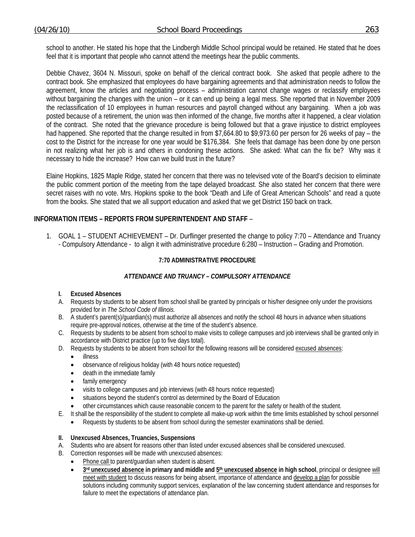school to another. He stated his hope that the Lindbergh Middle School principal would be retained. He stated that he does feel that it is important that people who cannot attend the meetings hear the public comments.

Debbie Chavez, 3604 N. Missouri, spoke on behalf of the clerical contract book. She asked that people adhere to the contract book. She emphasized that employees do have bargaining agreements and that administration needs to follow the agreement, know the articles and negotiating process – administration cannot change wages or reclassify employees without bargaining the changes with the union – or it can end up being a legal mess. She reported that in November 2009 the reclassification of 10 employees in human resources and payroll changed without any bargaining. When a job was posted because of a retirement, the union was then informed of the change, five months after it happened, a clear violation of the contract. She noted that the grievance procedure is being followed but that a grave injustice to district employees had happened. She reported that the change resulted in from \$7,664.80 to \$9,973.60 per person for 26 weeks of pay – the cost to the District for the increase for one year would be \$176,384. She feels that damage has been done by one person in not realizing what her job is and others in condoning these actions. She asked: What can the fix be? Why was it necessary to hide the increase? How can we build trust in the future?

Elaine Hopkins, 1825 Maple Ridge, stated her concern that there was no televised vote of the Board's decision to eliminate the public comment portion of the meeting from the tape delayed broadcast. She also stated her concern that there were secret raises with no vote. Mrs. Hopkins spoke to the book "Death and Life of Great American Schools" and read a quote from the books. She stated that we all support education and asked that we get District 150 back on track.

## **INFORMATION ITEMS – REPORTS FROM SUPERINTENDENT AND STAFF** –

1. GOAL 1 – STUDENT ACHIEVEMENT – Dr. Durflinger presented the change to policy 7:70 – Attendance and Truancy - Compulsory Attendance - to align it with administrative procedure 6:280 – Instruction – Grading and Promotion.

### **7:70 ADMINISTRATIVE PROCEDURE**

## *ATTENDANCE AND TRUANCY – COMPULSORY ATTENDANCE*

#### **I. Excused Absences**

- A. Requests by students to be absent from school shall be granted by principals or his/her designee only under the provisions provided for in *The School Code of Illinois.*
- B. A student's parent(s)/guardian(s) must authorize all absences and notify the school 48 hours in advance when situations require pre-approval notices, otherwise at the time of the student's absence.
- C. Requests by students to be absent from school to make visits to college campuses and job interviews shall be granted only in accordance with District practice (up to five days total).
- D. Requests by students to be absent from school for the following reasons will be considered excused absences:
	- illness
	- observance of religious holiday (with 48 hours notice requested)
	- death in the immediate family
	- family emergency
	- visits to college campuses and job interviews (with 48 hours notice requested)
	- situations beyond the student's control as determined by the Board of Education
	- other circumstances which cause reasonable concern to the parent for the safety or health of the student.
- E. It shall be the responsibility of the student to complete all make-up work within the time limits established by school personnel
	- Requests by students to be absent from school during the semester examinations shall be denied.
- **II. Unexcused Absences, Truancies, Suspensions**
- A. Students who are absent for reasons other than listed under excused absences shall be considered unexcused.
- B. Correction responses will be made with unexcused absences:
	- Phone call to parent/quardian when student is absent.
	- 3rd unexcused absence in primary and middle and 5<sup>th</sup> unexcused absence in high school, principal or designee will meet with student to discuss reasons for being absent, importance of attendance and develop a plan for possible solutions including community support services, explanation of the law concerning student attendance and responses for failure to meet the expectations of attendance plan.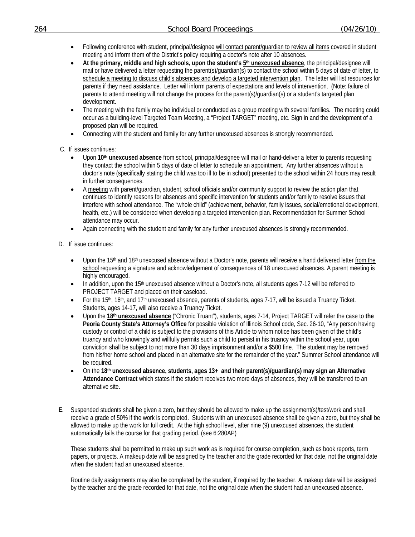- Following conference with student, principal/designee will contact parent/guardian to review all items covered in student meeting and inform them of the District's policy requiring a doctor's note after 10 absences.
- **At the primary, middle and high schools, upon the student's 5th unexcused absence**, the principal/designee will mail or have delivered a letter requesting the parent(s)/guardian(s) to contact the school within 5 days of date of letter, to schedule a meeting to discuss child's absences and develop a targeted intervention plan. The letter will list resources for parents if they need assistance. Letter will inform parents of expectations and levels of intervention. (Note: failure of parents to attend meeting will not change the process for the parent(s)/guardian(s) or a student's targeted plan development.
- The meeting with the family may be individual or conducted as a group meeting with several families. The meeting could occur as a building-level Targeted Team Meeting, a "Project TARGET" meeting, etc. Sign in and the development of a proposed plan will be required.
- Connecting with the student and family for any further unexcused absences is strongly recommended.

C. If issues continues:

- Upon **10th unexcused absence** from school, principal/designee will mail or hand-deliver a letter to parents requesting they contact the school within 5 days of date of letter to schedule an appointment. Any further absences without a doctor's note (specifically stating the child was too ill to be in school) presented to the school within 24 hours may result in further consequences.
- A meeting with parent/guardian, student, school officials and/or community support to review the action plan that continues to identify reasons for absences and specific intervention for students and/or family to resolve issues that interfere with school attendance. The "whole child" (achievement, behavior, family issues, social/emotional development, health, etc.) will be considered when developing a targeted intervention plan. Recommendation for Summer School attendance may occur.
- Again connecting with the student and family for any further unexcused absences is strongly recommended.
- D. If issue continues:
	- Upon the 15<sup>th</sup> and 18<sup>th</sup> unexcused absence without a Doctor's note, parents will receive a hand delivered letter from the school requesting a signature and acknowledgement of consequences of 18 unexcused absences. A parent meeting is highly encouraged.
	- In addition, upon the 15<sup>th</sup> unexcused absence without a Doctor's note, all students ages 7-12 will be referred to PROJECT TARGET and placed on their caseload.
	- For the 15<sup>th</sup>, 16<sup>th</sup>, and 17<sup>th</sup> unexcused absence, parents of students, ages 7-17, will be issued a Truancy Ticket. Students, ages 14-17, will also receive a Truancy Ticket.
	- Upon the **18th unexcused absence** ("Chronic Truant"), students, ages 7-14, Project TARGET will refer the case to **the Peoria County State's Attorney's Office** for possible violation of Illinois School code, Sec. 26-10, "Any person having custody or control of a child is subject to the provisions of this Article to whom notice has been given of the child's truancy and who knowingly and willfully permits such a child to persist in his truancy within the school year, upon conviction shall be subject to not more than 30 days imprisonment and/or a \$500 fine. The student may be removed from his/her home school and placed in an alternative site for the remainder of the year." Summer School attendance will be required.
	- On the **18th unexcused absence, students, ages 13+ and their parent(s)/guardian(s) may sign an Alternative Attendance Contract** which states if the student receives two more days of absences, they will be transferred to an alternative site.
- **E.** Suspended students shall be given a zero, but they should be allowed to make up the assignment(s)/test/work and shall receive a grade of 50% if the work is completed. Students with an unexcused absence shall be given a zero, but they shall be allowed to make up the work for full credit. At the high school level, after nine (9) unexcused absences, the student automatically fails the course for that grading period. (see 6:280AP)

These students shall be permitted to make up such work as is required for course completion, such as book reports, term papers, or projects. A makeup date will be assigned by the teacher and the grade recorded for that date, not the original date when the student had an unexcused absence.

Routine daily assignments may also be completed by the student, if required by the teacher. A makeup date will be assigned by the teacher and the grade recorded for that date, not the original date when the student had an unexcused absence.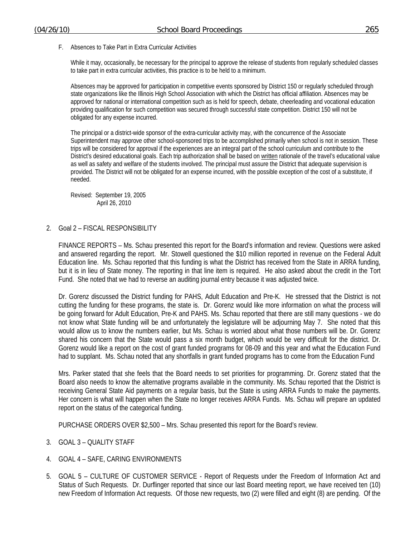F. Absences to Take Part in Extra Curricular Activities

While it may, occasionally, be necessary for the principal to approve the release of students from regularly scheduled classes to take part in extra curricular activities, this practice is to be held to a minimum.

Absences may be approved for participation in competitive events sponsored by District 150 or regularly scheduled through state organizations like the Illinois High School Association with which the District has official affiliation. Absences may be approved for national or international competition such as is held for speech, debate, cheerleading and vocational education providing qualification for such competition was secured through successful state competition. District 150 will not be obligated for any expense incurred.

The principal or a district-wide sponsor of the extra-curricular activity may, with the concurrence of the Associate Superintendent may approve other school-sponsored trips to be accomplished primarily when school is not in session. These trips will be considered for approval if the experiences are an integral part of the school curriculum and contribute to the District's desired educational goals. Each trip authorization shall be based on written rationale of the travel's educational value as well as safety and welfare of the students involved. The principal must assure the District that adequate supervision is provided. The District will not be obligated for an expense incurred, with the possible exception of the cost of a substitute, if needed.

Revised: September 19, 2005 April 26, 2010

2. Goal 2 – FISCAL RESPONSIBILITY

 FINANCE REPORTS – Ms. Schau presented this report for the Board's information and review. Questions were asked and answered regarding the report. Mr. Stowell questioned the \$10 million reported in revenue on the Federal Adult Education line. Ms. Schau reported that this funding is what the District has received from the State in ARRA funding, but it is in lieu of State money. The reporting in that line item is required. He also asked about the credit in the Tort Fund. She noted that we had to reverse an auditing journal entry because it was adjusted twice.

 Dr. Gorenz discussed the District funding for PAHS, Adult Education and Pre-K. He stressed that the District is not cutting the funding for these programs, the state is. Dr. Gorenz would like more information on what the process will be going forward for Adult Education, Pre-K and PAHS. Ms. Schau reported that there are still many questions - we do not know what State funding will be and unfortunately the legislature will be adjourning May 7. She noted that this would allow us to know the numbers earlier, but Ms. Schau is worried about what those numbers will be. Dr. Gorenz shared his concern that the State would pass a six month budget, which would be very difficult for the district. Dr. Gorenz would like a report on the cost of grant funded programs for 08-09 and this year and what the Education Fund had to supplant. Ms. Schau noted that any shortfalls in grant funded programs has to come from the Education Fund

 Mrs. Parker stated that she feels that the Board needs to set priorities for programming. Dr. Gorenz stated that the Board also needs to know the alternative programs available in the community. Ms. Schau reported that the District is receiving General State Aid payments on a regular basis, but the State is using ARRA Funds to make the payments. Her concern is what will happen when the State no longer receives ARRA Funds. Ms. Schau will prepare an updated report on the status of the categorical funding.

PURCHASE ORDERS OVER \$2,500 – Mrs. Schau presented this report for the Board's review.

- 3. GOAL 3 QUALITY STAFF
- 4. GOAL 4 SAFE, CARING ENVIRONMENTS
- 5. GOAL 5 CULTURE OF CUSTOMER SERVICE Report of Requests under the Freedom of Information Act and Status of Such Requests. Dr. Durflinger reported that since our last Board meeting report, we have received ten (10) new Freedom of Information Act requests. Of those new requests, two (2) were filled and eight (8) are pending. Of the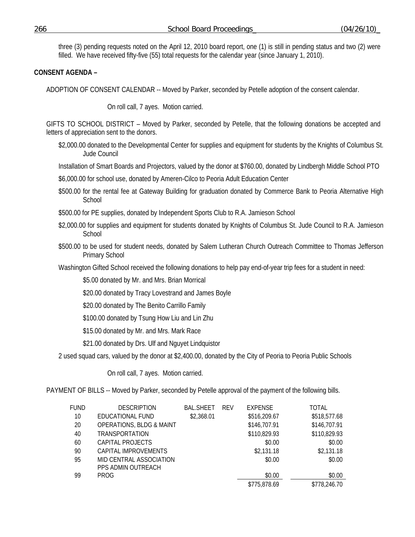three (3) pending requests noted on the April 12, 2010 board report, one (1) is still in pending status and two (2) were filled. We have received fifty-five (55) total requests for the calendar year (since January 1, 2010).

# **CONSENT AGENDA –**

ADOPTION OF CONSENT CALENDAR -- Moved by Parker, seconded by Petelle adoption of the consent calendar.

On roll call, 7 ayes. Motion carried.

GIFTS TO SCHOOL DISTRICT – Moved by Parker, seconded by Petelle, that the following donations be accepted and letters of appreciation sent to the donors.

\$2,000.00 donated to the Developmental Center for supplies and equipment for students by the Knights of Columbus St. Jude Council

Installation of Smart Boards and Projectors, valued by the donor at \$760.00, donated by Lindbergh Middle School PTO

\$6,000.00 for school use, donated by Ameren-Cilco to Peoria Adult Education Center

\$500.00 for the rental fee at Gateway Building for graduation donated by Commerce Bank to Peoria Alternative High **School** 

\$500.00 for PE supplies, donated by Independent Sports Club to R.A. Jamieson School

- \$2,000.00 for supplies and equipment for students donated by Knights of Columbus St. Jude Council to R.A. Jamieson **School**
- \$500.00 to be used for student needs, donated by Salem Lutheran Church Outreach Committee to Thomas Jefferson Primary School

Washington Gifted School received the following donations to help pay end-of-year trip fees for a student in need:

\$5.00 donated by Mr. and Mrs. Brian Morrical

\$20.00 donated by Tracy Lovestrand and James Boyle

\$20.00 donated by The Benito Carrillo Family

\$100.00 donated by Tsung How Liu and Lin Zhu

\$15.00 donated by Mr. and Mrs. Mark Race

\$21.00 donated by Drs. Ulf and Nguyet Lindquistor

2 used squad cars, valued by the donor at \$2,400.00, donated by the City of Peoria to Peoria Public Schools

On roll call, 7 ayes. Motion carried.

PAYMENT OF BILLS -- Moved by Parker, seconded by Petelle approval of the payment of the following bills.

| FUND | <b>DESCRIPTION</b>                  | <b>BAL.SHEET</b> | <b>REV</b> | <b>EXPENSE</b> | TOTAL        |
|------|-------------------------------------|------------------|------------|----------------|--------------|
| 10   | EDUCATIONAL FUND                    | \$2,368.01       |            | \$516,209.67   | \$518,577.68 |
| 20   | <b>OPERATIONS, BLDG &amp; MAINT</b> |                  |            | \$146,707.91   | \$146,707.91 |
| 40   | TRANSPORTATION                      |                  |            | \$110,829.93   | \$110,829.93 |
| 60   | CAPITAL PROJECTS                    |                  |            | \$0.00         | \$0.00       |
| 90   | CAPITAL IMPROVEMENTS                |                  |            | \$2,131.18     | \$2,131.18   |
| 95   | MID CENTRAL ASSOCIATION             |                  |            | \$0.00         | \$0.00       |
|      | PPS ADMIN OUTREACH                  |                  |            |                |              |
| 99   | PROG                                |                  |            | \$0.00         | \$0.00       |
|      |                                     |                  |            | \$775,878.69   | \$778,246.70 |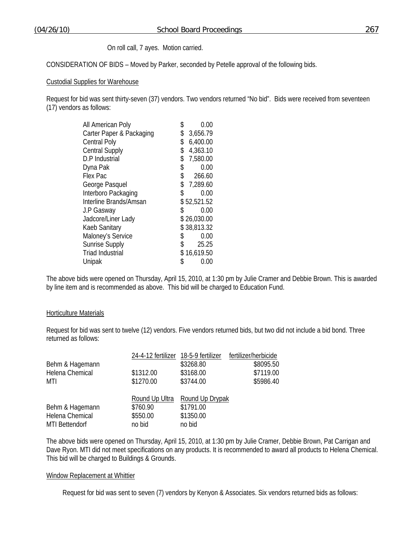On roll call, 7 ayes. Motion carried.

CONSIDERATION OF BIDS – Moved by Parker, seconded by Petelle approval of the following bids.

## Custodial Supplies for Warehouse

Request for bid was sent thirty-seven (37) vendors. Two vendors returned "No bid". Bids were received from seventeen (17) vendors as follows:

| All American Poly        | \$<br>0.00     |
|--------------------------|----------------|
| Carter Paper & Packaging | \$<br>3,656.79 |
| <b>Central Poly</b>      | \$<br>6,400.00 |
| <b>Central Supply</b>    | \$<br>4,363.10 |
| D.P Industrial           | \$<br>7,580.00 |
| Dyna Pak                 | \$<br>0.00     |
| Flex Pac                 | \$<br>266.60   |
| George Pasquel           | \$7,289.60     |
| Interboro Packaging      | \$<br>0.00     |
| Interline Brands/Amsan   | \$52,521.52    |
| J.P Gasway               | \$<br>0.00     |
| Jadcore/Liner Lady       | \$26,030.00    |
| Kaeb Sanitary            | \$38,813.32    |
| Maloney's Service        | \$<br>0.00     |
| Sunrise Supply           | \$<br>25.25    |
| Triad Industrial         | \$16,619.50    |
| Unipak                   | \$<br>0.00     |

The above bids were opened on Thursday, April 15, 2010, at 1:30 pm by Julie Cramer and Debbie Brown. This is awarded by line item and is recommended as above. This bid will be charged to Education Fund.

## Horticulture Materials

Request for bid was sent to twelve (12) vendors. Five vendors returned bids, but two did not include a bid bond. Three returned as follows:

|                       | 24-4-12 fertilizer 18-5-9 fertilizer |                 | fertilizer/herbicide |
|-----------------------|--------------------------------------|-----------------|----------------------|
| Behm & Hagemann       |                                      | \$3268.80       | \$8095.50            |
| Helena Chemical       | \$1312.00                            | \$3168.00       | \$7119.00            |
| MTI                   | \$1270.00                            | \$3744.00       | \$5986.40            |
|                       |                                      |                 |                      |
|                       | Round Up Ultra                       | Round Up Drypak |                      |
| Behm & Hagemann       | \$760.90                             | \$1791.00       |                      |
| Helena Chemical       | \$550.00                             | \$1350.00       |                      |
| <b>MTI Bettendorf</b> | no bid                               | no bid          |                      |

The above bids were opened on Thursday, April 15, 2010, at 1:30 pm by Julie Cramer, Debbie Brown, Pat Carrigan and Dave Ryon. MTI did not meet specifications on any products. It is recommended to award all products to Helena Chemical. This bid will be charged to Buildings & Grounds.

#### Window Replacement at Whittier

Request for bid was sent to seven (7) vendors by Kenyon & Associates. Six vendors returned bids as follows: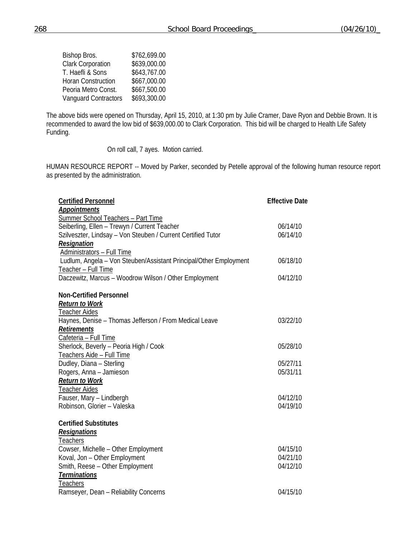| Bishop Bros.                | \$762,699.00 |
|-----------------------------|--------------|
| <b>Clark Corporation</b>    | \$639,000.00 |
| T. Haefli & Sons            | \$643,767.00 |
| <b>Horan Construction</b>   | \$667,000.00 |
| Peoria Metro Const.         | \$667,500.00 |
| <b>Vanquard Contractors</b> | \$693,300.00 |

The above bids were opened on Thursday, April 15, 2010, at 1:30 pm by Julie Cramer, Dave Ryon and Debbie Brown. It is recommended to award the low bid of \$639,000.00 to Clark Corporation. This bid will be charged to Health Life Safety Funding.

On roll call, 7 ayes. Motion carried.

HUMAN RESOURCE REPORT -- Moved by Parker, seconded by Petelle approval of the following human resource report as presented by the administration.

| <b>Certified Personnel</b>                                        | <b>Effective Date</b> |
|-------------------------------------------------------------------|-----------------------|
| <b>Appointments</b>                                               |                       |
| Summer School Teachers - Part Time                                |                       |
| Seiberling, Ellen - Trewyn / Current Teacher                      | 06/14/10              |
| Szilveszter, Lindsay - Von Steuben / Current Certified Tutor      | 06/14/10              |
| Resignation                                                       |                       |
| Administrators - Full Time                                        |                       |
| Ludlum, Angela - Von Steuben/Assistant Principal/Other Employment | 06/18/10              |
| Teacher - Full Time                                               |                       |
| Daczewitz, Marcus - Woodrow Wilson / Other Employment             | 04/12/10              |
| <b>Non-Certified Personnel</b>                                    |                       |
| <b>Return to Work</b>                                             |                       |
| <b>Teacher Aides</b>                                              |                       |
| Haynes, Denise – Thomas Jefferson / From Medical Leave            | 03/22/10              |
| <b>Retirements</b>                                                |                       |
| Cafeteria - Full Time                                             |                       |
| Sherlock, Beverly - Peoria High / Cook                            | 05/28/10              |
| Teachers Aide - Full Time                                         |                       |
| Dudley, Diana - Sterling                                          | 05/27/11              |
| Rogers, Anna - Jamieson                                           | 05/31/11              |
| <b>Return to Work</b>                                             |                       |
| <b>Teacher Aides</b>                                              |                       |
| Fauser, Mary - Lindbergh                                          | 04/12/10              |
| Robinson, Glorier - Valeska                                       | 04/19/10              |
| <b>Certified Substitutes</b>                                      |                       |
| <b>Resignations</b>                                               |                       |
| Teachers                                                          |                       |
| Cowser, Michelle - Other Employment                               | 04/15/10              |
| Koval, Jon - Other Employment                                     | 04/21/10              |
| Smith, Reese - Other Employment                                   | 04/12/10              |
| <b>Terminations</b>                                               |                       |
| Teachers                                                          |                       |
| Ramseyer, Dean - Reliability Concerns                             | 04/15/10              |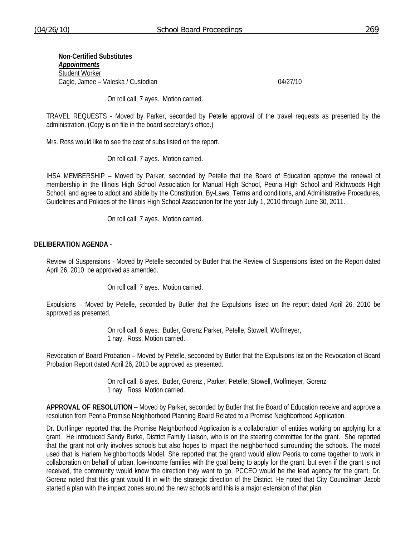**Non-Certified Substitutes**  *Appointments* Student Worker Cagle, Jamee – Valeska / Custodian 04/27/10

On roll call, 7 ayes. Motion carried.

TRAVEL REQUESTS - Moved by Parker, seconded by Petelle approval of the travel requests as presented by the administration. (Copy is on file in the board secretary's office.)

Mrs. Ross would like to see the cost of subs listed on the report.

On roll call, 7 ayes. Motion carried.

IHSA MEMBERSHIP – Moved by Parker, seconded by Petelle that the Board of Education approve the renewal of membership in the Illinois High School Association for Manual High School, Peoria High School and Richwoods High School, and agree to adopt and abide by the Constitution, By-Laws, Terms and conditions, and Administrative Procedures, Guidelines and Policies of the Illinois High School Association for the year July 1, 2010 through June 30, 2011.

On roll call, 7 ayes. Motion carried.

## **DELIBERATION AGENDA** -

Review of Suspensions - Moved by Petelle seconded by Butler that the Review of Suspensions listed on the Report dated April 26, 2010 be approved as amended.

On roll call, 7 ayes. Motion carried.

Expulsions – Moved by Petelle, seconded by Butler that the Expulsions listed on the report dated April 26, 2010 be approved as presented.

> On roll call, 6 ayes. Butler, Gorenz Parker, Petelle, Stowell, Wolfmeyer, 1 nay. Ross. Motion carried.

Revocation of Board Probation – Moved by Petelle, seconded by Butler that the Expulsions list on the Revocation of Board Probation Report dated April 26, 2010 be approved as presented.

> On roll call, 6 ayes. Butler, Gorenz , Parker, Petelle, Stowell, Wolfmeyer, Gorenz 1 nay. Ross. Motion carried.

**APPROVAL OF RESOLUTION** – Moved by Parker, seconded by Butler that the Board of Education receive and approve a resolution from Peoria Promise Neighborhood Planning Board Related to a Promise Neighborhood Application.

Dr. Durflinger reported that the Promise Neighborhood Application is a collaboration of entities working on applying for a grant. He introduced Sandy Burke, District Family Liaison, who is on the steering committee for the grant. She reported that the grant not only involves schools but also hopes to impact the neighborhood surrounding the schools. The model used that is Harlem Neighborhoods Model. She reported that the grand would allow Peoria to come together to work in collaboration on behalf of urban, low-income families with the goal being to apply for the grant, but even if the grant is not received, the community would know the direction they want to go. PCCEO would be the lead agency for the grant. Dr. Gorenz noted that this grant would fit in with the strategic direction of the District. He noted that City Councilman Jacob started a plan with the impact zones around the new schools and this is a major extension of that plan.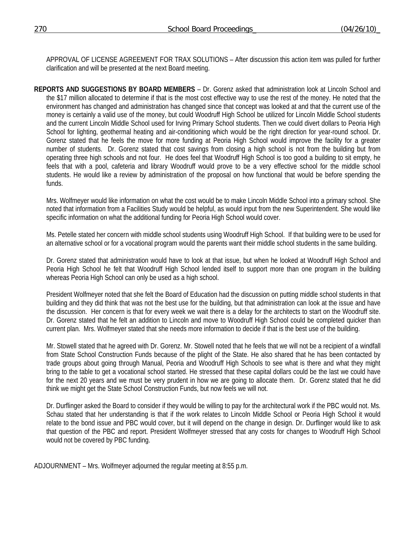APPROVAL OF LICENSE AGREEMENT FOR TRAX SOLUTIONS – After discussion this action item was pulled for further clarification and will be presented at the next Board meeting.

**REPORTS AND SUGGESTIONS BY BOARD MEMBERS** – Dr. Gorenz asked that administration look at Lincoln School and the \$17 million allocated to determine if that is the most cost effective way to use the rest of the money. He noted that the environment has changed and administration has changed since that concept was looked at and that the current use of the money is certainly a valid use of the money, but could Woodruff High School be utilized for Lincoln Middle School students and the current Lincoln Middle School used for Irving Primary School students. Then we could divert dollars to Peoria High School for lighting, geothermal heating and air-conditioning which would be the right direction for year-round school. Dr. Gorenz stated that he feels the move for more funding at Peoria High School would improve the facility for a greater number of students. Dr. Gorenz stated that cost savings from closing a high school is not from the building but from operating three high schools and not four. He does feel that Woodruff High School is too good a building to sit empty, he feels that with a pool, cafeteria and library Woodruff would prove to be a very effective school for the middle school students. He would like a review by administration of the proposal on how functional that would be before spending the funds.

 Mrs. Wolfmeyer would like information on what the cost would be to make Lincoln Middle School into a primary school. She noted that information from a Facilities Study would be helpful, as would input from the new Superintendent. She would like specific information on what the additional funding for Peoria High School would cover.

 Ms. Petelle stated her concern with middle school students using Woodruff High School. If that building were to be used for an alternative school or for a vocational program would the parents want their middle school students in the same building.

 Dr. Gorenz stated that administration would have to look at that issue, but when he looked at Woodruff High School and Peoria High School he felt that Woodruff High School lended itself to support more than one program in the building whereas Peoria High School can only be used as a high school.

 President Wolfmeyer noted that she felt the Board of Education had the discussion on putting middle school students in that building and they did think that was not the best use for the building, but that administration can look at the issue and have the discussion. Her concern is that for every week we wait there is a delay for the architects to start on the Woodruff site. Dr. Gorenz stated that he felt an addition to Lincoln and move to Woodruff High School could be completed quicker than current plan. Mrs. Wolfmeyer stated that she needs more information to decide if that is the best use of the building.

 Mr. Stowell stated that he agreed with Dr. Gorenz. Mr. Stowell noted that he feels that we will not be a recipient of a windfall from State School Construction Funds because of the plight of the State. He also shared that he has been contacted by trade groups about going through Manual, Peoria and Woodruff High Schools to see what is there and what they might bring to the table to get a vocational school started. He stressed that these capital dollars could be the last we could have for the next 20 years and we must be very prudent in how we are going to allocate them. Dr. Gorenz stated that he did think we might get the State School Construction Funds, but now feels we will not.

 Dr. Durflinger asked the Board to consider if they would be willing to pay for the architectural work if the PBC would not. Ms. Schau stated that her understanding is that if the work relates to Lincoln Middle School or Peoria High School it would relate to the bond issue and PBC would cover, but it will depend on the change in design. Dr. Durflinger would like to ask that question of the PBC and report. President Wolfmeyer stressed that any costs for changes to Woodruff High School would not be covered by PBC funding.

ADJOURNMENT – Mrs. Wolfmeyer adjourned the regular meeting at 8:55 p.m.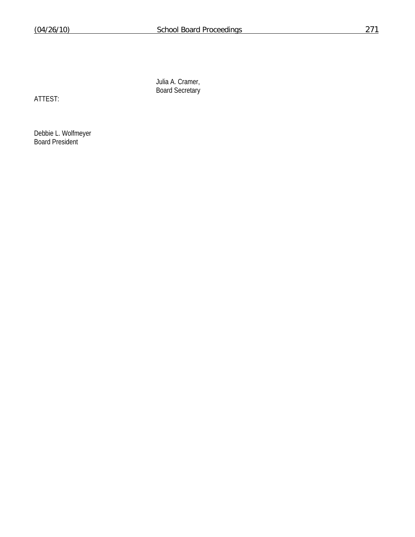Julia A. Cramer, Board Secretary

ATTEST:

Debbie L. Wolfmeyer Board President